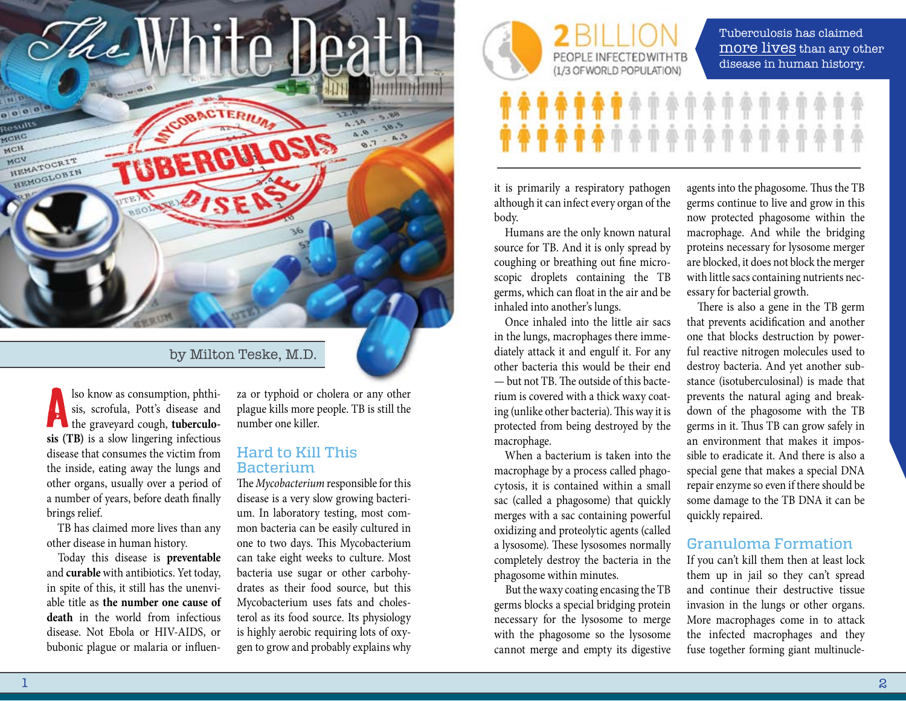

## by Milton Teske, M.D.

lso know as consumption, phthisis, scrofula, Pott's disease and the graveyard cough, **tuberculosis (TB)** is a slow lingering infectious disease that consumes the victim from the inside, eating away the lungs and other organs, usually over a period of a number of years, before death finally brings relief.

TB has claimed more lives than any other disease in human history.

Today this disease is **preventable** and **curable** with antibiotics. Yet today, in spite of this, it still has the unenviable title as **the number one cause of death** in the world from infectious disease. Not Ebola or HIV-AIDS, or bubonic plague or malaria or influenza or typhoid or cholera or any other plague kills more people. TB is still the number one killer.

## Hard to Kill This Bacterium

The *Mycobacterium* responsible for this disease is a very slow growing bacterium. In laboratory testing, most common bacteria can be easily cultured in one to two days. This Mycobacterium can take eight weeks to culture. Most bacteria use sugar or other carbohydrates as their food source, but this Mycobacterium uses fats and cholesterol as its food source. Its physiology is highly aerobic requiring lots of oxygen to grow and probably explains why



Tuberculosis has claimed more lives than any other disease in human history.

*<u>••••••••••*</u> **\*\*\*\*\*\*\*\*\*\*\*\*\*\*** 

it is primarily a respiratory pathogen although it can infect every organ of the body.

Humans are the only known natural source for TB. And it is only spread by coughing or breathing out fine microscopic droplets containing the TB germs, which can float in the air and be inhaled into another's lungs.

Once inhaled into the little air sacs in the lungs, macrophages there immediately attack it and engulf it. For any other bacteria this would be their end — but not TB. The outside of this bacterium is covered with a thick waxy coating (unlike other bacteria). This way it is protected from being destroyed by the macrophage.

When a bacterium is taken into the macrophage by a process called phagocytosis, it is contained within a small sac (called a phagosome) that quickly merges with a sac containing powerful oxidizing and proteolytic agents (called a lysosome). These lysosomes normally completely destroy the bacteria in the phagosome within minutes.

But the waxy coating encasing the TB germs blocks a special bridging protein necessary for the lysosome to merge with the phagosome so the lysosome cannot merge and empty its digestive

agents into the phagosome. Thus the TB germs continue to live and grow in this now protected phagosome within the macrophage. And while the bridging proteins necessary for lysosome merger are blocked, it does not block the merger with little sacs containing nutrients necessary for bacterial growth.

There is also a gene in the TB germ that prevents acidification and another one that blocks destruction by powerful reactive nitrogen molecules used to destroy bacteria. And yet another substance (isotuberculosinal) is made that prevents the natural aging and breakdown of the phagosome with the TB germs in it. Thus TB can grow safely in an environment that makes it impossible to eradicate it. And there is also a special gene that makes a special DNA repair enzyme so even if there should be some damage to the TB DNA it can be quickly repaired.

## Granuloma Formation

If you can't kill them then at least lock them up in jail so they can't spread and continue their destructive tissue invasion in the lungs or other organs. More macrophages come in to attack the infected macrophages and they fuse together forming giant multinucle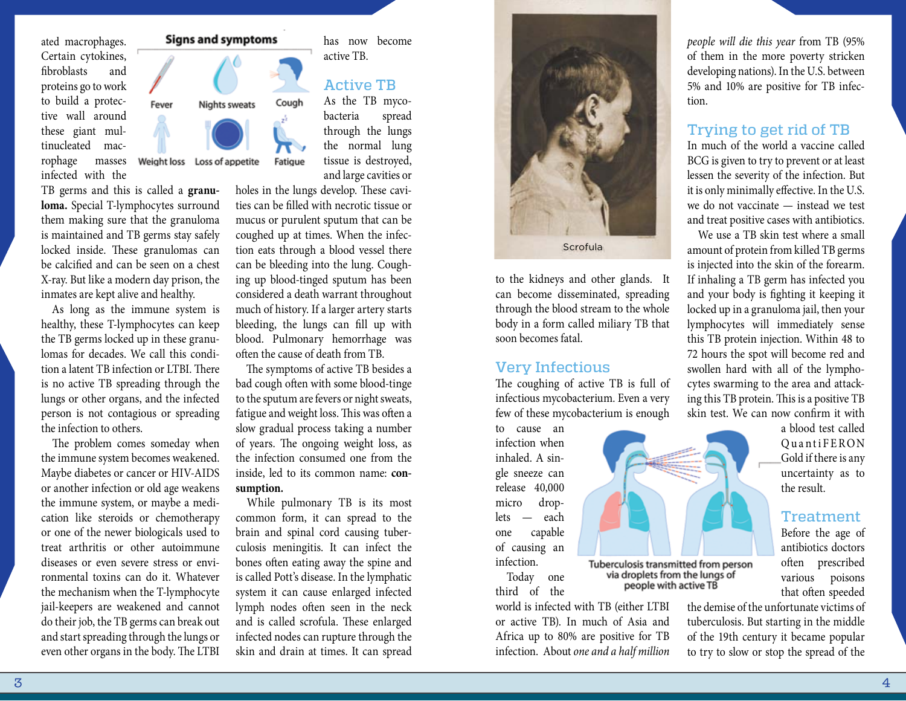ated macrophages. Certain cytokines, fibroblasts and proteins go to work to build a protective wall around these giant multinucleated mac-

rophage masses infected with the

TB germs and this is called a **granuloma.** Special T-lymphocytes surround them making sure that the granuloma is maintained and TB germs stay safely locked inside. These granulomas can be calcified and can be seen on a chest X-ray. But like a modern day prison, the inmates are kept alive and healthy.

Fever

Weight loss Loss of appetite

As long as the immune system is healthy, these T-lymphocytes can keep the TB germs locked up in these granulomas for decades. We call this condition a latent TB infection or LTBI. There is no active TB spreading through the lungs or other organs, and the infected person is not contagious or spreading the infection to others.

The problem comes someday when the immune system becomes weakened. Maybe diabetes or cancer or HIV-AIDS or another infection or old age weakens the immune system, or maybe a medication like steroids or chemotherapy or one of the newer biologicals used to treat arthritis or other autoimmune diseases or even severe stress or environmental toxins can do it. Whatever the mechanism when the T-lymphocyte jail-keepers are weakened and cannot do their job, the TB germs can break out and start spreading through the lungs or even other organs in the body. The LTBI

# **Signs and symptoms**

Nights sweats



Fatigue

bacteria spread through the lungs the normal lung tissue is destroyed, and large cavities or

has now become

active TB.

holes in the lungs develop. These cavities can be filled with necrotic tissue or mucus or purulent sputum that can be coughed up at times. When the infection eats through a blood vessel there can be bleeding into the lung. Coughing up blood-tinged sputum has been considered a death warrant throughout much of history. If a larger artery starts bleeding, the lungs can fill up with blood. Pulmonary hemorrhage was often the cause of death from TB.

The symptoms of active TB besides a bad cough often with some blood-tinge to the sputum are fevers or night sweats, fatigue and weight loss. This was often a slow gradual process taking a number of years. The ongoing weight loss, as the infection consumed one from the inside, led to its common name: **consumption.**

While pulmonary TB is its most common form, it can spread to the brain and spinal cord causing tuberculosis meningitis. It can infect the bones often eating away the spine and is called Pott's disease. In the lymphatic system it can cause enlarged infected lymph nodes often seen in the neck and is called scrofula. These enlarged infected nodes can rupture through the skin and drain at times. It can spread



to the kidneys and other glands. It can become disseminated, spreading through the blood stream to the whole body in a form called miliary TB that soon becomes fatal.

#### Very Infectious

The coughing of active TB is full of infectious mycobacterium. Even a very few of these mycobacterium is enough

to cause an infection when inhaled. A single sneeze can release 40,000 micro droplets — each one capable of causing an infection.

Today one third of the

world is infected with TB (either LTBI or active TB). In much of Asia and Africa up to 80% are positive for TB infection. About *one and a half million* 

Tuberculosis transmitted from person<br>via droplets from the lungs of people with active TB

*people will die this year* from TB (95% of them in the more poverty stricken developing nations). In the U.S. between 5% and 10% are positive for TB infection.

### Trying to get rid of TB

In much of the world a vaccine called BCG is given to try to prevent or at least lessen the severity of the infection. But it is only minimally effective. In the U.S. we do not vaccinate — instead we test and treat positive cases with antibiotics.

We use a TB skin test where a small amount of protein from killed TB germs is injected into the skin of the forearm. If inhaling a TB germ has infected you and your body is fighting it keeping it locked up in a granuloma jail, then your lymphocytes will immediately sense this TB protein injection. Within 48 to 72 hours the spot will become red and swollen hard with all of the lymphocytes swarming to the area and attacking this TB protein. This is a positive TB skin test. We can now confirm it with

> a blood test called OuantiFERON Gold if there is any uncertainty as to the result.

#### **Treatment**

Before the age of antibiotics doctors often prescribed various poisons that often speeded

the demise of the unfortunate victims of tuberculosis. But starting in the middle of the 19th century it became popular to try to slow or stop the spread of the